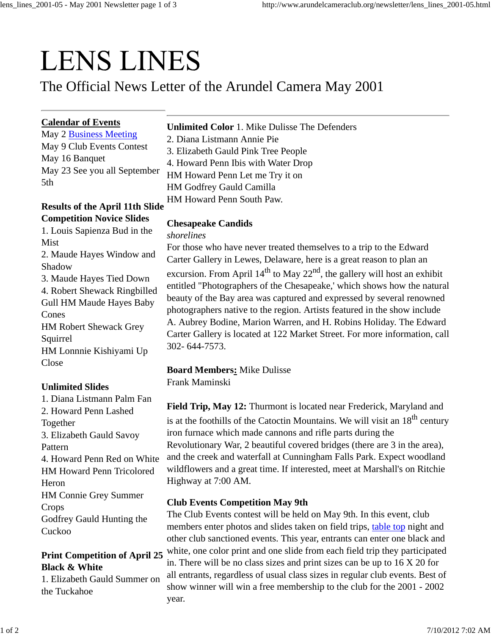# **LENS LINES**

The Official News Letter of the Arundel Camera May 2001

## **Calendar of Events**

May 2 **Business Meeting** May 9 Club Events Contest May 16 Banquet May 23 See you all September 5th

## **Results of the April 11th Slide Competition Novice Slides**

1. Louis Sapienza Bud in the Mist 2. Maude Hayes Window and Shadow 3. Maude Hayes Tied Down 4. Robert Shewack Ringbilled Gull HM Maude Hayes Baby Cones HM Robert Shewack Grey Squirrel HM Lonnnie Kishiyami Up Close

## **Unlimited Slides**

1. Diana Listmann Palm Fan 2. Howard Penn Lashed Together 3. Elizabeth Gauld Savoy Pattern 4. Howard Penn Red on White HM Howard Penn Tricolored Heron HM Connie Grey Summer Crops Godfrey Gauld Hunting the Cuckoo

#### **Print Competition of April 25 Black & White**

1. Elizabeth Gauld Summer on the Tuckahoe

**Unlimited Color** 1. Mike Dulisse The Defenders 2. Diana Listmann Annie Pie 3. Elizabeth Gauld Pink Tree People 4. Howard Penn Ibis with Water Drop HM Howard Penn Let me Try it on HM Godfrey Gauld Camilla

HM Howard Penn South Paw.

# **Chesapeake Candids**

*shorelines*

For those who have never treated themselves to a trip to the Edward Carter Gallery in Lewes, Delaware, here is a great reason to plan an excursion. From April  $14<sup>th</sup>$  to May 22<sup>nd</sup>, the gallery will host an exhibit entitled "Photographers of the Chesapeake,' which shows how the natural beauty of the Bay area was captured and expressed by several renowned photographers native to the region. Artists featured in the show include A. Aubrey Bodine, Marion Warren, and H. Robins Holiday. The Edward Carter Gallery is located at 122 Market Street. For more information, call 302- 644-7573.

### **Board Members:** Mike Dulisse

Frank Maminski

**Field Trip, May 12:** Thurmont is located near Frederick, Maryland and is at the foothills of the Catoctin Mountains. We will visit an  $18<sup>th</sup>$  century iron furnace which made cannons and rifle parts during the Revolutionary War, 2 beautiful covered bridges (there are 3 in the area), and the creek and waterfall at Cunningham Falls Park. Expect woodland wildflowers and a great time. If interested, meet at Marshall's on Ritchie Highway at 7:00 AM.

### **Club Events Competition May 9th**

The Club Events contest will be held on May 9th. In this event, club members enter photos and slides taken on field trips, table top night and other club sanctioned events. This year, entrants can enter one black and white, one color print and one slide from each field trip they participated in. There will be no class sizes and print sizes can be up to 16 X 20 for all entrants, regardless of usual class sizes in regular club events. Best of show winner will win a free membership to the club for the 2001 - 2002 year.